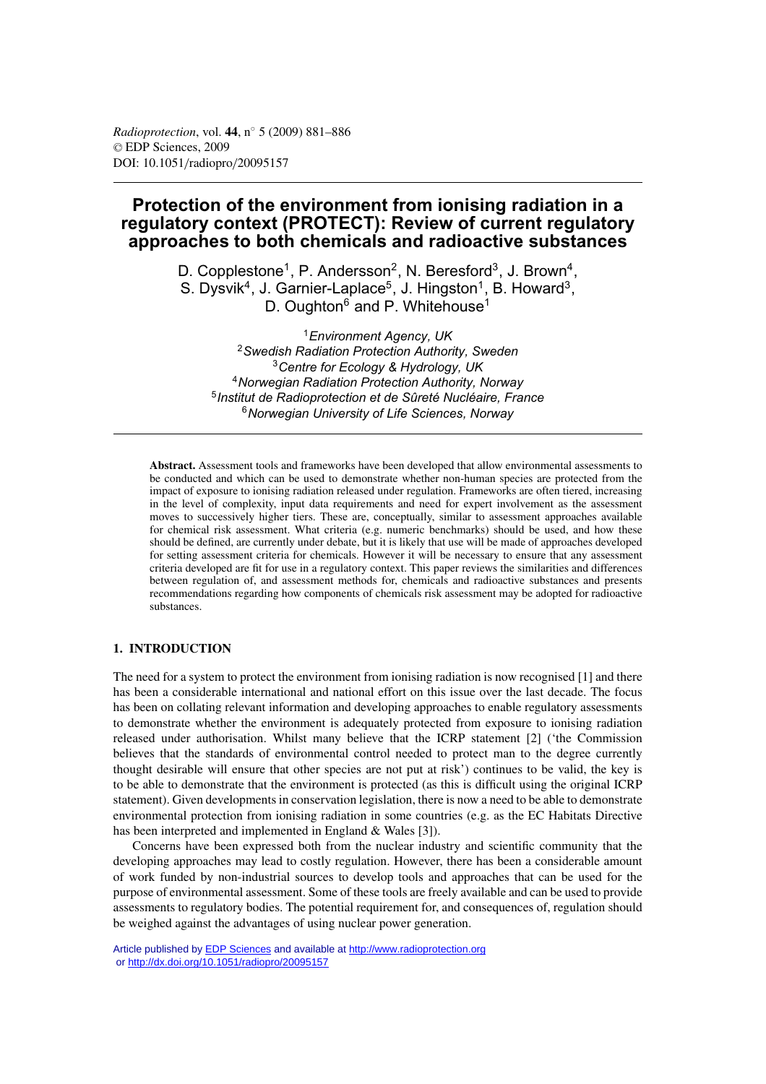# **Protection of the environment from ionising radiation in a regulatory context (PROTECT): Review of current regulatory approaches to both chemicals and radioactive substances**

D. Copplestone<sup>1</sup>, P. Andersson<sup>2</sup>, N. Beresford<sup>3</sup>, J. Brown<sup>4</sup>, S. Dysvik<sup>4</sup>, J. Garnier-Laplace<sup>5</sup>, J. Hingston<sup>1</sup>, B. Howard<sup>3</sup>,

D. Oughton<sup>6</sup> and P. Whitehouse<sup>1</sup>

*Environment Agency, UK Swedish Radiation Protection Authority, Sweden Centre for Ecology & Hydrology, UK Norwegian Radiation Protection Authority, Norway Institut de Radioprotection et de Sûreté Nucléaire, France Norwegian University of Life Sciences, Norway*

**Abstract.** Assessment tools and frameworks have been developed that allow environmental assessments to be conducted and which can be used to demonstrate whether non-human species are protected from the impact of exposure to ionising radiation released under regulation. Frameworks are often tiered, increasing in the level of complexity, input data requirements and need for expert involvement as the assessment moves to successively higher tiers. These are, conceptually, similar to assessment approaches available for chemical risk assessment. What criteria (e.g. numeric benchmarks) should be used, and how these should be defined, are currently under debate, but it is likely that use will be made of approaches developed for setting assessment criteria for chemicals. However it will be necessary to ensure that any assessment criteria developed are fit for use in a regulatory context. This paper reviews the similarities and differences between regulation of, and assessment methods for, chemicals and radioactive substances and presents recommendations regarding how components of chemicals risk assessment may be adopted for radioactive substances.

### **1. INTRODUCTION**

The need for a system to protect the environment from ionising radiation is now recognised [1] and there has been a considerable international and national effort on this issue over the last decade. The focus has been on collating relevant information and developing approaches to enable regulatory assessments to demonstrate whether the environment is adequately protected from exposure to ionising radiation released under authorisation. Whilst many believe that the ICRP statement [2] ('the Commission believes that the standards of environmental control needed to protect man to the degree currently thought desirable will ensure that other species are not put at risk') continues to be valid, the key is to be able to demonstrate that the environment is protected (as this is difficult using the original ICRP statement). Given developments in conservation legislation, there is now a need to be able to demonstrate environmental protection from ionising radiation in some countries (e.g. as the EC Habitats Directive has been interpreted and implemented in England & Wales [3]).

Concerns have been expressed both from the nuclear industry and scientific community that the developing approaches may lead to costly regulation. However, there has been a considerable amount of work funded by non-industrial sources to develop tools and approaches that can be used for the purpose of environmental assessment. Some of these tools are freely available and can be used to provide assessments to regulatory bodies. The potential requirement for, and consequences of, regulation should be weighed against the advantages of using nuclear power generation.

Article published by [EDP Sciences](http://www.edpsciences.org) and available at<http://www.radioprotection.org> or <http://dx.doi.org/10.1051/radiopro/20095157>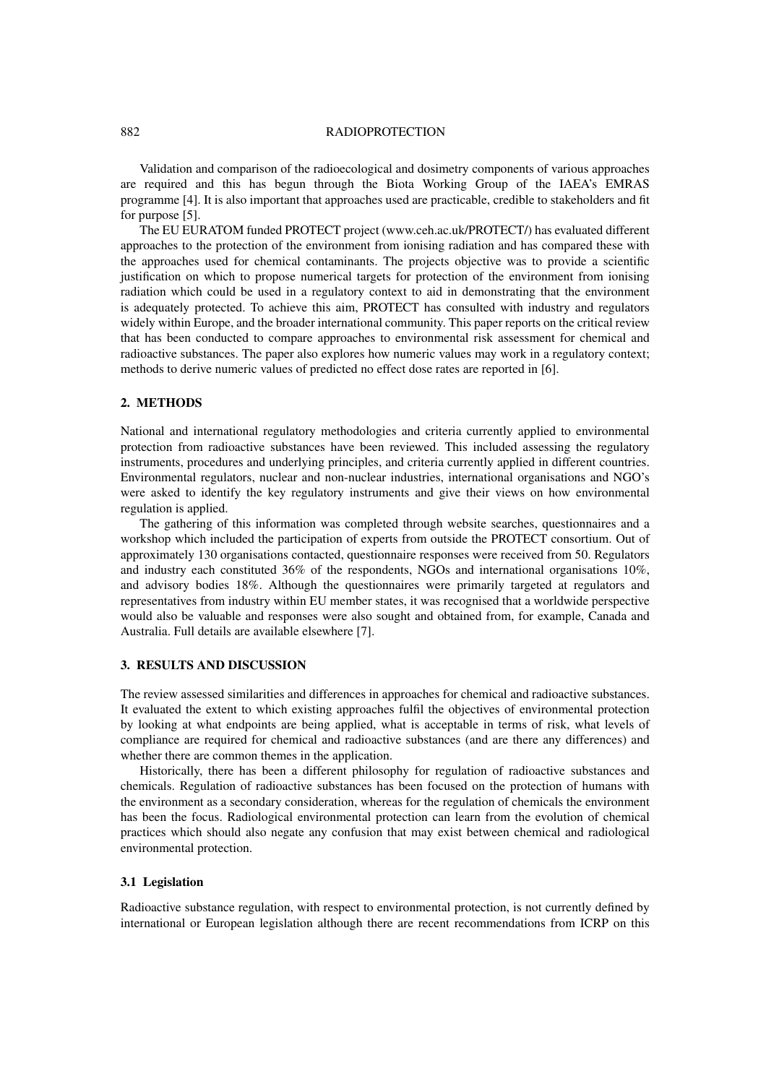#### 882 RADIOPROTECTION

Validation and comparison of the radioecological and dosimetry components of various approaches are required and this has begun through the Biota Working Group of the IAEA's EMRAS programme [4]. It is also important that approaches used are practicable, credible to stakeholders and fit for purpose [5].

The EU EURATOM funded PROTECT project (www.ceh.ac.uk/PROTECT/) has evaluated different approaches to the protection of the environment from ionising radiation and has compared these with the approaches used for chemical contaminants. The projects objective was to provide a scientific justification on which to propose numerical targets for protection of the environment from ionising radiation which could be used in a regulatory context to aid in demonstrating that the environment is adequately protected. To achieve this aim, PROTECT has consulted with industry and regulators widely within Europe, and the broader international community. This paper reports on the critical review that has been conducted to compare approaches to environmental risk assessment for chemical and radioactive substances. The paper also explores how numeric values may work in a regulatory context; methods to derive numeric values of predicted no effect dose rates are reported in [6].

### **2. METHODS**

National and international regulatory methodologies and criteria currently applied to environmental protection from radioactive substances have been reviewed. This included assessing the regulatory instruments, procedures and underlying principles, and criteria currently applied in different countries. Environmental regulators, nuclear and non-nuclear industries, international organisations and NGO's were asked to identify the key regulatory instruments and give their views on how environmental regulation is applied.

The gathering of this information was completed through website searches, questionnaires and a workshop which included the participation of experts from outside the PROTECT consortium. Out of approximately 130 organisations contacted, questionnaire responses were received from 50. Regulators and industry each constituted 36% of the respondents, NGOs and international organisations 10%, and advisory bodies 18%. Although the questionnaires were primarily targeted at regulators and representatives from industry within EU member states, it was recognised that a worldwide perspective would also be valuable and responses were also sought and obtained from, for example, Canada and Australia. Full details are available elsewhere [7].

### **3. RESULTS AND DISCUSSION**

The review assessed similarities and differences in approaches for chemical and radioactive substances. It evaluated the extent to which existing approaches fulfil the objectives of environmental protection by looking at what endpoints are being applied, what is acceptable in terms of risk, what levels of compliance are required for chemical and radioactive substances (and are there any differences) and whether there are common themes in the application.

Historically, there has been a different philosophy for regulation of radioactive substances and chemicals. Regulation of radioactive substances has been focused on the protection of humans with the environment as a secondary consideration, whereas for the regulation of chemicals the environment has been the focus. Radiological environmental protection can learn from the evolution of chemical practices which should also negate any confusion that may exist between chemical and radiological environmental protection.

## **3.1 Legislation**

Radioactive substance regulation, with respect to environmental protection, is not currently defined by international or European legislation although there are recent recommendations from ICRP on this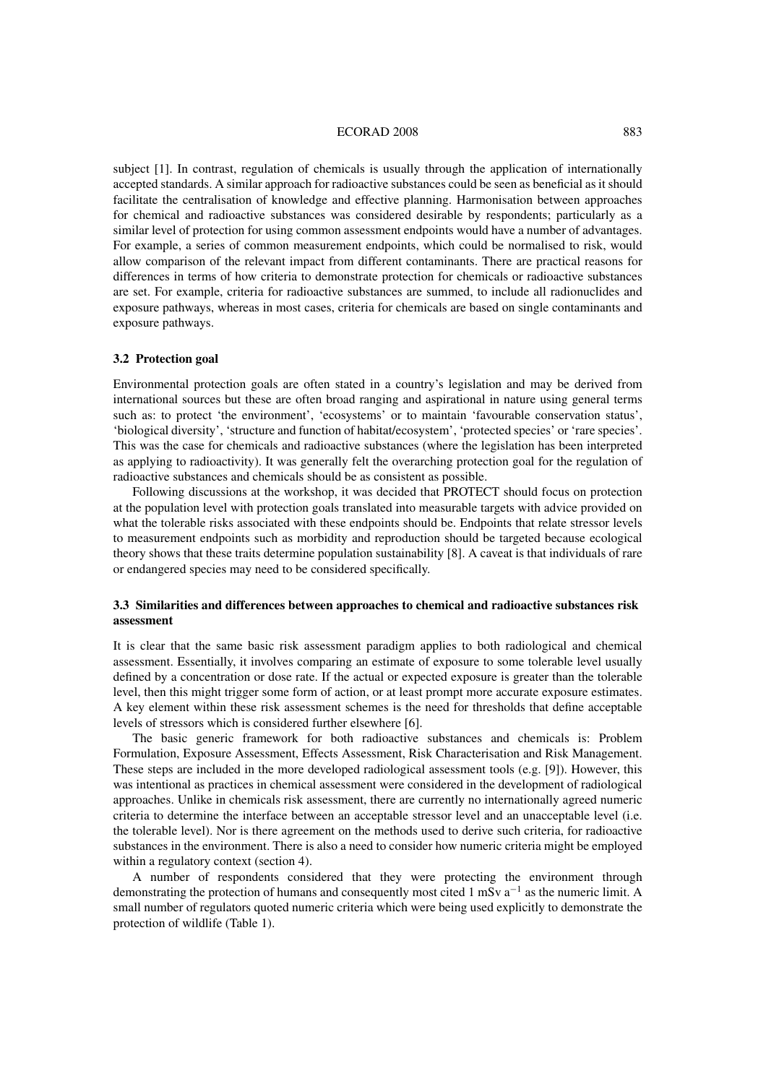#### ECORAD 2008 883

subject [1]. In contrast, regulation of chemicals is usually through the application of internationally accepted standards. A similar approach for radioactive substances could be seen as beneficial as it should facilitate the centralisation of knowledge and effective planning. Harmonisation between approaches for chemical and radioactive substances was considered desirable by respondents; particularly as a similar level of protection for using common assessment endpoints would have a number of advantages. For example, a series of common measurement endpoints, which could be normalised to risk, would allow comparison of the relevant impact from different contaminants. There are practical reasons for differences in terms of how criteria to demonstrate protection for chemicals or radioactive substances are set. For example, criteria for radioactive substances are summed, to include all radionuclides and exposure pathways, whereas in most cases, criteria for chemicals are based on single contaminants and exposure pathways.

### **3.2 Protection goal**

Environmental protection goals are often stated in a country's legislation and may be derived from international sources but these are often broad ranging and aspirational in nature using general terms such as: to protect 'the environment', 'ecosystems' or to maintain 'favourable conservation status', 'biological diversity', 'structure and function of habitat/ecosystem', 'protected species' or 'rare species'. This was the case for chemicals and radioactive substances (where the legislation has been interpreted as applying to radioactivity). It was generally felt the overarching protection goal for the regulation of radioactive substances and chemicals should be as consistent as possible.

Following discussions at the workshop, it was decided that PROTECT should focus on protection at the population level with protection goals translated into measurable targets with advice provided on what the tolerable risks associated with these endpoints should be. Endpoints that relate stressor levels to measurement endpoints such as morbidity and reproduction should be targeted because ecological theory shows that these traits determine population sustainability [8]. A caveat is that individuals of rare or endangered species may need to be considered specifically.

### **3.3 Similarities and differences between approaches to chemical and radioactive substances risk assessment**

It is clear that the same basic risk assessment paradigm applies to both radiological and chemical assessment. Essentially, it involves comparing an estimate of exposure to some tolerable level usually defined by a concentration or dose rate. If the actual or expected exposure is greater than the tolerable level, then this might trigger some form of action, or at least prompt more accurate exposure estimates. A key element within these risk assessment schemes is the need for thresholds that define acceptable levels of stressors which is considered further elsewhere [6].

The basic generic framework for both radioactive substances and chemicals is: Problem Formulation, Exposure Assessment, Effects Assessment, Risk Characterisation and Risk Management. These steps are included in the more developed radiological assessment tools (e.g. [9]). However, this was intentional as practices in chemical assessment were considered in the development of radiological approaches. Unlike in chemicals risk assessment, there are currently no internationally agreed numeric criteria to determine the interface between an acceptable stressor level and an unacceptable level (i.e. the tolerable level). Nor is there agreement on the methods used to derive such criteria, for radioactive substances in the environment. There is also a need to consider how numeric criteria might be employed within a regulatory context (section 4).

A number of respondents considered that they were protecting the environment through demonstrating the protection of humans and consequently most cited 1 mSv  $a^{-1}$  as the numeric limit. A small number of regulators quoted numeric criteria which were being used explicitly to demonstrate the protection of wildlife (Table 1).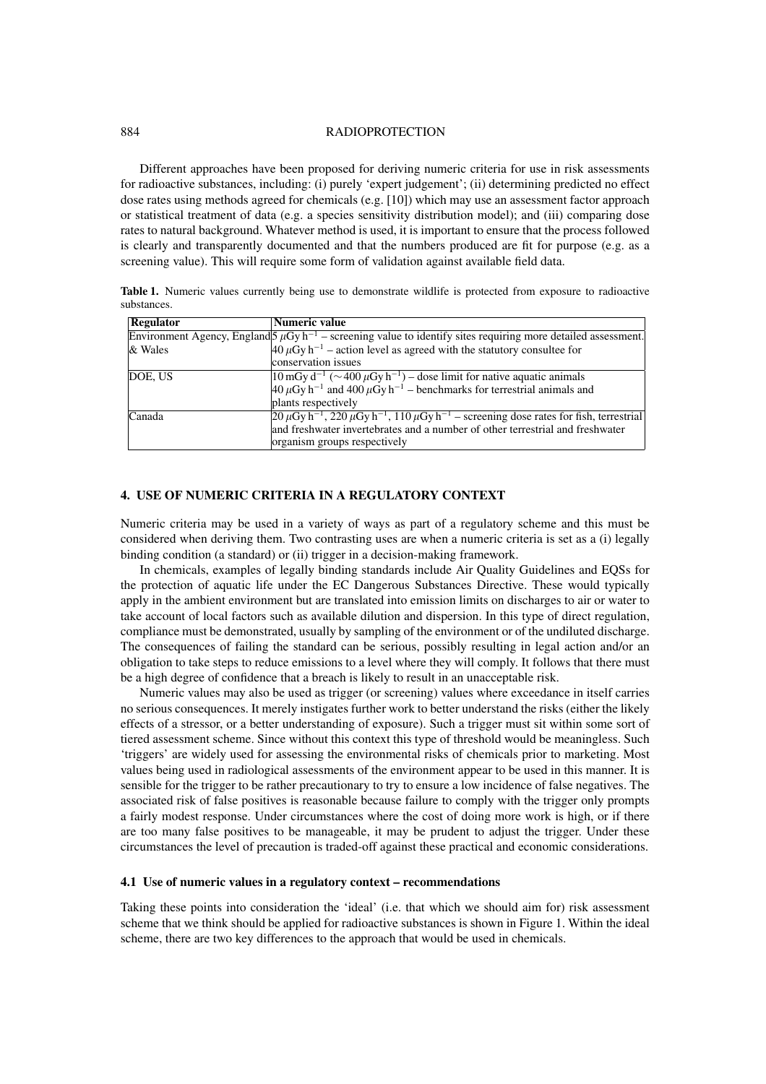#### 884 RADIOPROTECTION

Different approaches have been proposed for deriving numeric criteria for use in risk assessments for radioactive substances, including: (i) purely 'expert judgement'; (ii) determining predicted no effect dose rates using methods agreed for chemicals (e.g. [10]) which may use an assessment factor approach or statistical treatment of data (e.g. a species sensitivity distribution model); and (iii) comparing dose rates to natural background. Whatever method is used, it is important to ensure that the process followed is clearly and transparently documented and that the numbers produced are fit for purpose (e.g. as a screening value). This will require some form of validation against available field data.

**Table 1.** Numeric values currently being use to demonstrate wildlife is protected from exposure to radioactive substances.

| <b>Regulator</b> | Numeric value                                                                                                                       |
|------------------|-------------------------------------------------------------------------------------------------------------------------------------|
|                  | Environment Agency, England $5 \mu Gy h^{-1}$ – screening value to identify sites requiring more detailed assessment.               |
| & Wales          | $40 \mu Gy h^{-1}$ – action level as agreed with the statutory consultee for                                                        |
|                  | conservation issues                                                                                                                 |
| DOE. US          | $10 \,\mathrm{mGy\,d^{-1}}$ ( $\sim 400 \,\mathrm{\mu Gy\,h^{-1}}$ ) – dose limit for native aquatic animals                        |
|                  | $40 \mu Gy h^{-1}$ and $400 \mu Gy h^{-1}$ – benchmarks for terrestrial animals and                                                 |
|                  | plants respectively                                                                                                                 |
| Canada           | $[20 \,\mu\text{Gy}\,h^{-1}$ , 220 $\mu\text{Gy}\,h^{-1}$ , 110 $\mu\text{Gy}\,h^{-1}$ – screening dose rates for fish, terrestrial |
|                  | and freshwater invertebrates and a number of other terrestrial and freshwater                                                       |
|                  | organism groups respectively                                                                                                        |

### **4. USE OF NUMERIC CRITERIA IN A REGULATORY CONTEXT**

Numeric criteria may be used in a variety of ways as part of a regulatory scheme and this must be considered when deriving them. Two contrasting uses are when a numeric criteria is set as a (i) legally binding condition (a standard) or (ii) trigger in a decision-making framework.

In chemicals, examples of legally binding standards include Air Quality Guidelines and EQSs for the protection of aquatic life under the EC Dangerous Substances Directive. These would typically apply in the ambient environment but are translated into emission limits on discharges to air or water to take account of local factors such as available dilution and dispersion. In this type of direct regulation, compliance must be demonstrated, usually by sampling of the environment or of the undiluted discharge. The consequences of failing the standard can be serious, possibly resulting in legal action and/or an obligation to take steps to reduce emissions to a level where they will comply. It follows that there must be a high degree of confidence that a breach is likely to result in an unacceptable risk.

Numeric values may also be used as trigger (or screening) values where exceedance in itself carries no serious consequences. It merely instigates further work to better understand the risks (either the likely effects of a stressor, or a better understanding of exposure). Such a trigger must sit within some sort of tiered assessment scheme. Since without this context this type of threshold would be meaningless. Such 'triggers' are widely used for assessing the environmental risks of chemicals prior to marketing. Most values being used in radiological assessments of the environment appear to be used in this manner. It is sensible for the trigger to be rather precautionary to try to ensure a low incidence of false negatives. The associated risk of false positives is reasonable because failure to comply with the trigger only prompts a fairly modest response. Under circumstances where the cost of doing more work is high, or if there are too many false positives to be manageable, it may be prudent to adjust the trigger. Under these circumstances the level of precaution is traded-off against these practical and economic considerations.

### **4.1 Use of numeric values in a regulatory context – recommendations**

Taking these points into consideration the 'ideal' (i.e. that which we should aim for) risk assessment scheme that we think should be applied for radioactive substances is shown in Figure 1. Within the ideal scheme, there are two key differences to the approach that would be used in chemicals.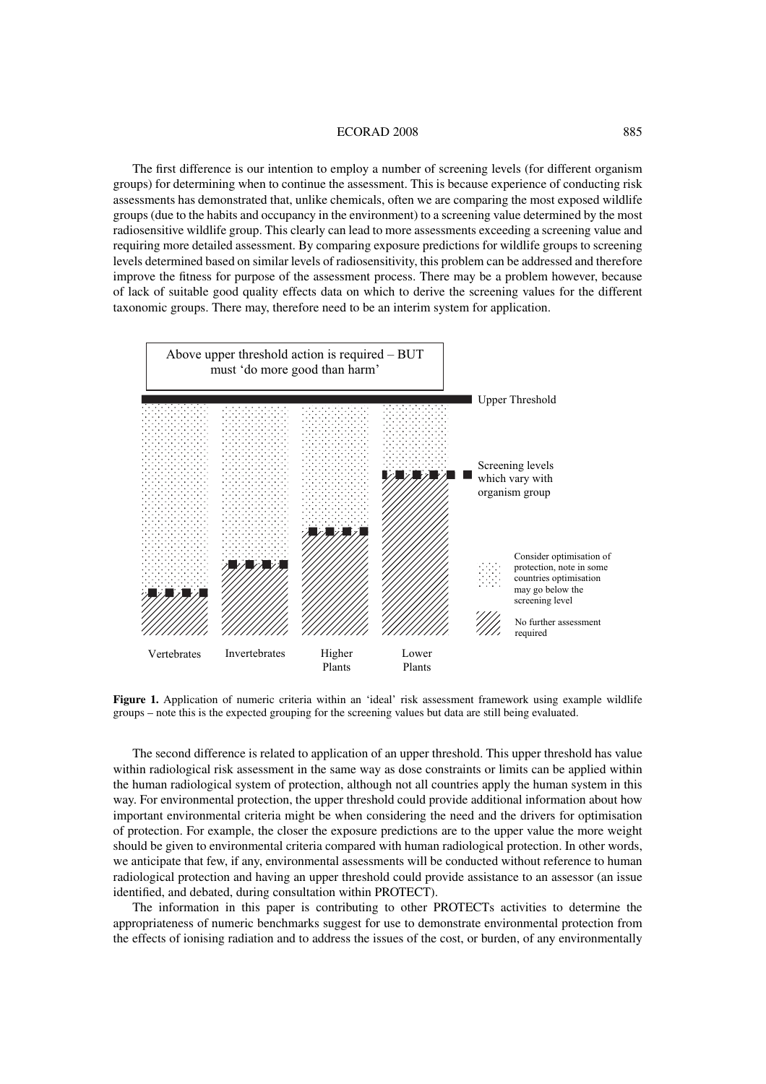#### ECORAD 2008 885

The first difference is our intention to employ a number of screening levels (for different organism groups) for determining when to continue the assessment. This is because experience of conducting risk assessments has demonstrated that, unlike chemicals, often we are comparing the most exposed wildlife groups (due to the habits and occupancy in the environment) to a screening value determined by the most radiosensitive wildlife group. This clearly can lead to more assessments exceeding a screening value and requiring more detailed assessment. By comparing exposure predictions for wildlife groups to screening levels determined based on similar levels of radiosensitivity, this problem can be addressed and therefore improve the fitness for purpose of the assessment process. There may be a problem however, because of lack of suitable good quality effects data on which to derive the screening values for the different taxonomic groups. There may, therefore need to be an interim system for application.



Figure 1. Application of numeric criteria within an 'ideal' risk assessment framework using example wildlife groups – note this is the expected grouping for the screening values but data are still being evaluated.

The second difference is related to application of an upper threshold. This upper threshold has value within radiological risk assessment in the same way as dose constraints or limits can be applied within the human radiological system of protection, although not all countries apply the human system in this way. For environmental protection, the upper threshold could provide additional information about how important environmental criteria might be when considering the need and the drivers for optimisation of protection. For example, the closer the exposure predictions are to the upper value the more weight should be given to environmental criteria compared with human radiological protection. In other words, we anticipate that few, if any, environmental assessments will be conducted without reference to human radiological protection and having an upper threshold could provide assistance to an assessor (an issue identified, and debated, during consultation within PROTECT).

The information in this paper is contributing to other PROTECTs activities to determine the appropriateness of numeric benchmarks suggest for use to demonstrate environmental protection from the effects of ionising radiation and to address the issues of the cost, or burden, of any environmentally